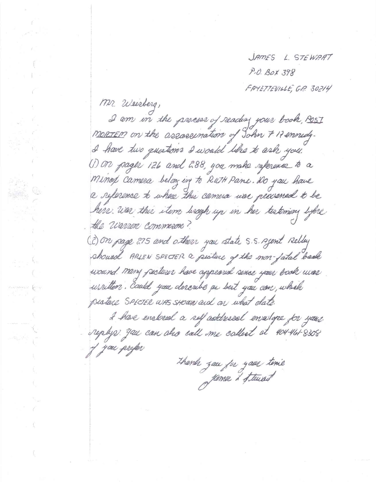JAMES L. STEWART P.O. BOX 398 FAYETTEVILLE, G.P. 30214

Mr. Weisberg, I am in the process of reading your book, POST MORTEM on the assosemation of John 7 17 ennedy. I have two questions I would like to ask you. (1) ON pager 126 and 288, you make reference to a Minop camera belonging to Ruth Pane. Do you have a reference to where the camera use procened to be here was this item lingh up in her testimony lifere the warren commercie? (2) On page 275 and others you state 5.5. Agent Relley shourd ARLEN SPECTER a pusture of the mon-fatal bank wound. Many pectures have appeared since your book was urritten. Could you describe as best you can, which pesture SPECTER WAS SHOWN and an what date. I have enclosed a self addressal ensurge for your replys you can also call me collect at 404-461-8308 y you prefer

thanh zau for your time